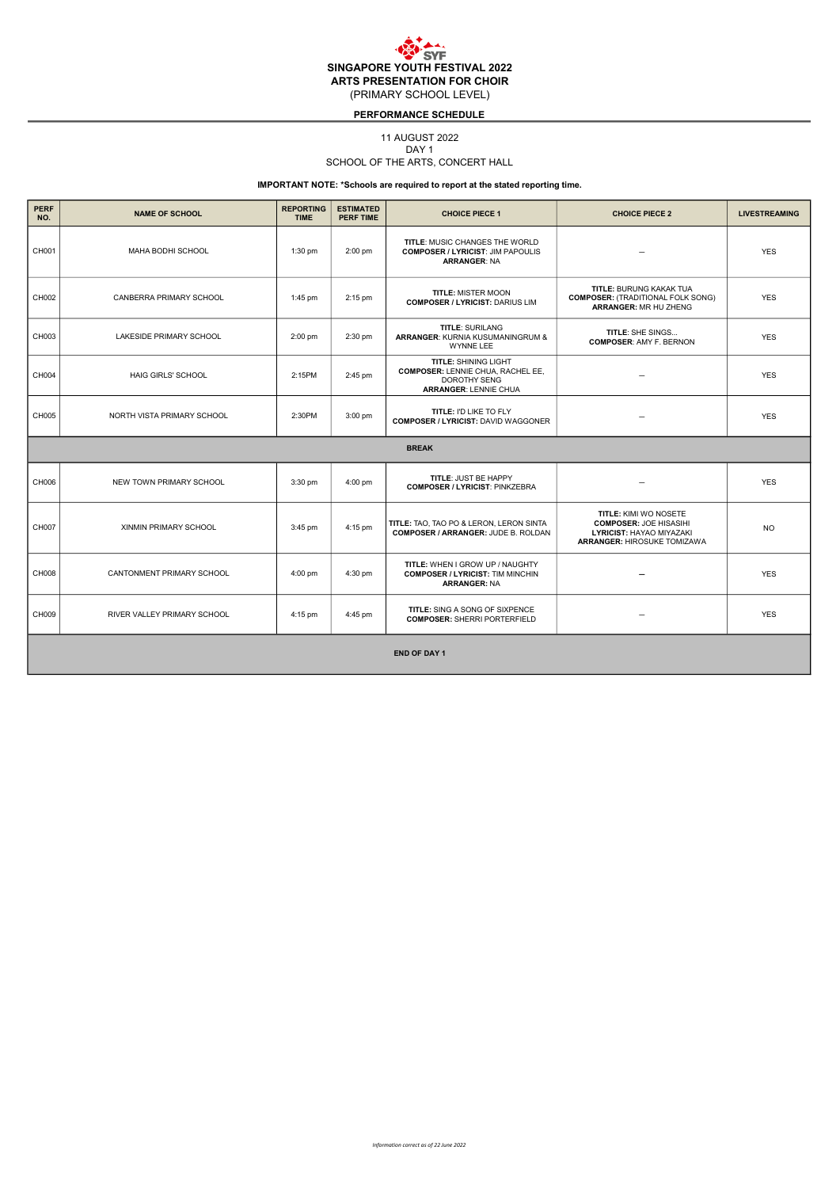## PERFORMANCE SCHEDULE

## 11 AUGUST 2022

DAY<sub>1</sub>

## SCHOOL OF THE ARTS, CONCERT HALL

| <b>PERF</b><br>NO.  | <b>NAME OF SCHOOL</b>       | <b>REPORTING</b><br><b>TIME</b> | <b>ESTIMATED</b><br><b>PERF TIME</b> | <b>CHOICE PIECE 1</b>                                                                                                          | <b>CHOICE PIECE 2</b>                                                                                                                  | <b>LIVESTREAMING</b> |  |  |
|---------------------|-----------------------------|---------------------------------|--------------------------------------|--------------------------------------------------------------------------------------------------------------------------------|----------------------------------------------------------------------------------------------------------------------------------------|----------------------|--|--|
| CH001               | MAHA BODHI SCHOOL           | $1:30$ pm                       | 2:00 pm                              | TITLE: MUSIC CHANGES THE WORLD<br><b>COMPOSER / LYRICIST: JIM PAPOULIS</b><br><b>ARRANGER: NA</b>                              |                                                                                                                                        | <b>YES</b>           |  |  |
| CH002               | CANBERRA PRIMARY SCHOOL     | $1:45$ pm                       | 2:15 pm                              | <b>TITLE: MISTER MOON</b><br><b>COMPOSER / LYRICIST: DARIUS LIM</b>                                                            | <b>TITLE: BURUNG KAKAK TUA</b><br><b>COMPOSER: (TRADITIONAL FOLK SONG)</b><br>ARRANGER: MR HU ZHENG                                    | <b>YES</b>           |  |  |
| CH003               | LAKESIDE PRIMARY SCHOOL     | 2:00 pm                         | 2:30 pm                              | <b>TITLE: SURILANG</b><br>ARRANGER: KURNIA KUSUMANINGRUM &<br><b>WYNNE LEE</b>                                                 | TITLE: SHE SINGS<br><b>COMPOSER: AMY F. BERNON</b>                                                                                     | <b>YES</b>           |  |  |
| CH004               | <b>HAIG GIRLS' SCHOOL</b>   | 2:15PM                          | 2:45 pm                              | <b>TITLE: SHINING LIGHT</b><br><b>COMPOSER: LENNIE CHUA, RACHEL EE,</b><br><b>DOROTHY SENG</b><br><b>ARRANGER: LENNIE CHUA</b> |                                                                                                                                        | <b>YES</b>           |  |  |
| CH005               | NORTH VISTA PRIMARY SCHOOL  | 2:30PM                          | 3:00 pm                              | TITLE: I'D LIKE TO FLY<br><b>COMPOSER / LYRICIST: DAVID WAGGONER</b>                                                           |                                                                                                                                        | <b>YES</b>           |  |  |
|                     |                             |                                 |                                      | <b>BREAK</b>                                                                                                                   |                                                                                                                                        |                      |  |  |
| CH006               | NEW TOWN PRIMARY SCHOOL     | 3:30 pm                         | 4:00 pm                              | <b>TITLE: JUST BE HAPPY</b><br><b>COMPOSER / LYRICIST: PINKZEBRA</b>                                                           | -                                                                                                                                      | <b>YES</b>           |  |  |
| CH007               | XINMIN PRIMARY SCHOOL       | $3:45$ pm                       | 4:15 pm                              | TITLE: TAO, TAO PO & LERON, LERON SINTA<br><b>COMPOSER / ARRANGER: JUDE B. ROLDAN</b>                                          | <b>TITLE: KIMI WO NOSETE</b><br><b>COMPOSER: JOE HISASIHI</b><br><b>LYRICIST: HAYAO MIYAZAKI</b><br><b>ARRANGER: HIROSUKE TOMIZAWA</b> | <b>NO</b>            |  |  |
| CH008               | CANTONMENT PRIMARY SCHOOL   | 4:00 pm                         | 4:30 pm                              | TITLE: WHEN I GROW UP / NAUGHTY<br><b>COMPOSER / LYRICIST: TIM MINCHIN</b><br><b>ARRANGER: NA</b>                              | $\overline{\phantom{0}}$                                                                                                               | <b>YES</b>           |  |  |
| CH009               | RIVER VALLEY PRIMARY SCHOOL | $4:15$ pm                       | 4:45 pm                              | TITLE: SING A SONG OF SIXPENCE<br><b>COMPOSER: SHERRI PORTERFIELD</b>                                                          | $\overline{\phantom{0}}$                                                                                                               | <b>YES</b>           |  |  |
| <b>END OF DAY 1</b> |                             |                                 |                                      |                                                                                                                                |                                                                                                                                        |                      |  |  |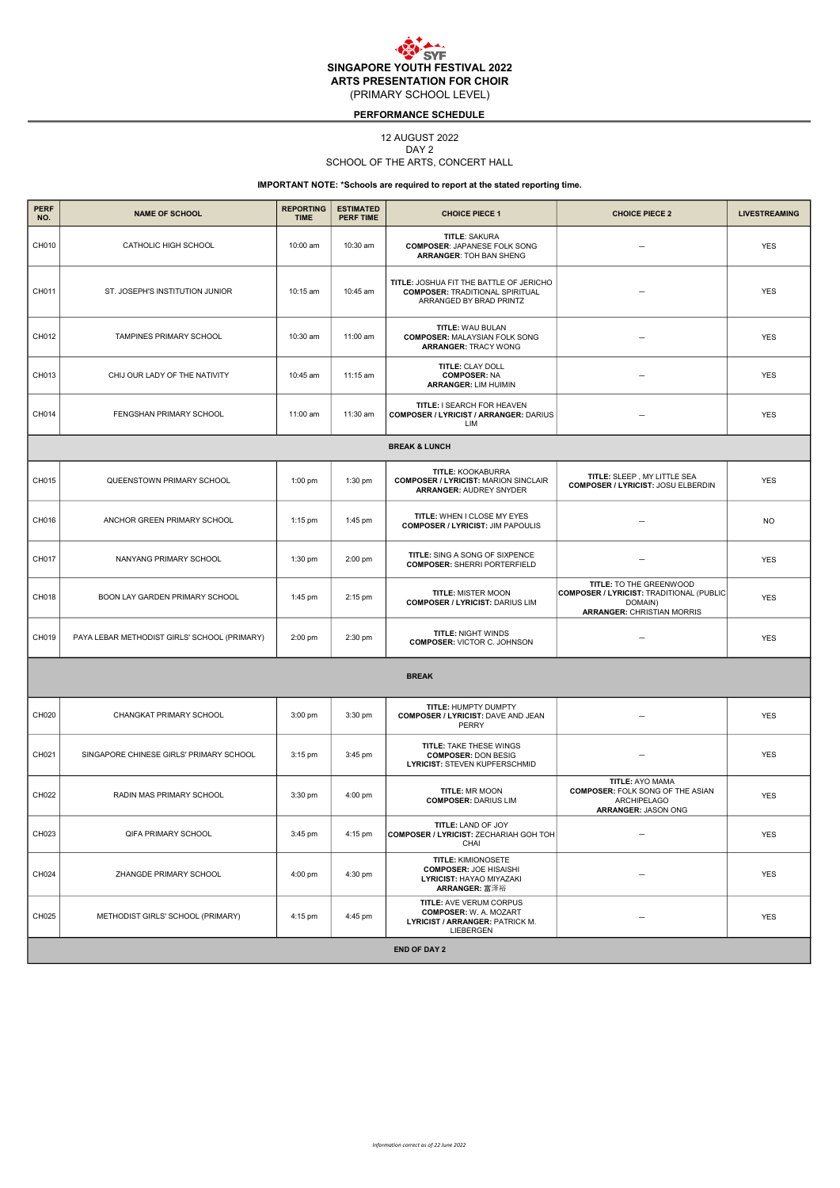## PERFORMANCE SCHEDULE

## 12 AUGUST 2022

DAY 2

## SCHOOL OF THE ARTS, CONCERT HALL

| <b>PERF</b><br>NO. | <b>NAME OF SCHOOL</b>                        | <b>REPORTING</b><br><b>TIME</b> | <b>ESTIMATED</b><br><b>PERF TIME</b> | <b>CHOICE PIECE 1</b>                                                                                           | <b>CHOICE PIECE 2</b>                                                                                               | <b>LIVESTREAMING</b> |  |  |  |
|--------------------|----------------------------------------------|---------------------------------|--------------------------------------|-----------------------------------------------------------------------------------------------------------------|---------------------------------------------------------------------------------------------------------------------|----------------------|--|--|--|
| CH010              | CATHOLIC HIGH SCHOOL                         | 10:00 am                        | 10:30 am                             | <b>TITLE: SAKURA</b><br><b>COMPOSER: JAPANESE FOLK SONG</b><br><b>ARRANGER: TOH BAN SHENG</b>                   |                                                                                                                     | <b>YES</b>           |  |  |  |
| CH011              | ST. JOSEPH'S INSTITUTION JUNIOR              | 10:15 am                        | 10:45 am                             | TITLE: JOSHUA FIT THE BATTLE OF JERICHO<br><b>COMPOSER: TRADITIONAL SPIRITUAL</b><br>ARRANGED BY BRAD PRINTZ    |                                                                                                                     | <b>YES</b>           |  |  |  |
| CH012              | TAMPINES PRIMARY SCHOOL                      | 10:30 am                        | 11:00 am                             | TITLE: WAU BULAN<br><b>COMPOSER: MALAYSIAN FOLK SONG</b><br><b>ARRANGER: TRACY WONG</b>                         |                                                                                                                     | <b>YES</b>           |  |  |  |
| CH013              | CHIJ OUR LADY OF THE NATIVITY                | 10:45 am                        | 11:15 am                             | TITLE: CLAY DOLL<br><b>COMPOSER: NA</b><br><b>ARRANGER: LIM HUIMIN</b>                                          |                                                                                                                     | <b>YES</b>           |  |  |  |
| CH014              | FENGSHAN PRIMARY SCHOOL                      | 11:00 am                        | 11:30 am                             | TITLE: I SEARCH FOR HEAVEN<br><b>COMPOSER / LYRICIST / ARRANGER: DARIUS</b><br>LIM                              |                                                                                                                     | <b>YES</b>           |  |  |  |
|                    |                                              |                                 |                                      | <b>BREAK &amp; LUNCH</b>                                                                                        |                                                                                                                     |                      |  |  |  |
| CH015              | QUEENSTOWN PRIMARY SCHOOL                    | 1:00 pm                         | 1:30 pm                              | TITLE: KOOKABURRA<br><b>COMPOSER / LYRICIST: MARION SINCLAIR</b><br><b>ARRANGER: AUDREY SNYDER</b>              | TITLE: SLEEP, MY LITTLE SEA<br><b>COMPOSER / LYRICIST: JOSU ELBERDIN</b>                                            | <b>YES</b>           |  |  |  |
| CH016              | ANCHOR GREEN PRIMARY SCHOOL                  | $1:15$ pm                       | 1:45 pm                              | TITLE: WHEN I CLOSE MY EYES<br><b>COMPOSER / LYRICIST: JIM PAPOULIS</b>                                         |                                                                                                                     | <b>NO</b>            |  |  |  |
| CH017              | NANYANG PRIMARY SCHOOL                       | 1:30 pm                         | 2:00 pm                              | TITLE: SING A SONG OF SIXPENCE<br><b>COMPOSER: SHERRI PORTERFIELD</b>                                           |                                                                                                                     | <b>YES</b>           |  |  |  |
| CH018              | BOON LAY GARDEN PRIMARY SCHOOL               | 1:45 pm                         | 2:15 pm                              | <b>TITLE: MISTER MOON</b><br><b>COMPOSER / LYRICIST: DARIUS LIM</b>                                             | TITLE: TO THE GREENWOOD<br>COMPOSER / LYRICIST: TRADITIONAL (PUBLIC<br>DOMAIN)<br><b>ARRANGER: CHRISTIAN MORRIS</b> | <b>YES</b>           |  |  |  |
| CH019              | PAYA LEBAR METHODIST GIRLS' SCHOOL (PRIMARY) | $2:00$ pm                       | 2:30 pm                              | <b>TITLE: NIGHT WINDS</b><br><b>COMPOSER: VICTOR C. JOHNSON</b>                                                 |                                                                                                                     | <b>YES</b>           |  |  |  |
|                    |                                              |                                 |                                      | <b>BREAK</b>                                                                                                    |                                                                                                                     |                      |  |  |  |
| CH020              | CHANGKAT PRIMARY SCHOOL                      | 3:00 pm                         | 3:30 pm                              | TITLE: HUMPTY DUMPTY<br><b>COMPOSER / LYRICIST: DAVE AND JEAN</b><br>PERRY                                      |                                                                                                                     | <b>YES</b>           |  |  |  |
| CH021              | SINGAPORE CHINESE GIRLS' PRIMARY SCHOOL      | 3:15 pm                         | 3:45 pm                              | TITLE: TAKE THESE WINGS<br><b>COMPOSER: DON BESIG</b><br>LYRICIST: STEVEN KUPFERSCHMID                          |                                                                                                                     | <b>YES</b>           |  |  |  |
| CH022              | RADIN MAS PRIMARY SCHOOL                     | 3:30 pm                         | 4:00 pm                              | TITLE: MR MOON<br><b>COMPOSER: DARIUS LIM</b>                                                                   | <b>TITLE: AYO MAMA</b><br><b>COMPOSER: FOLK SONG OF THE ASIAN</b><br><b>ARCHIPELAGO</b><br>ARRANGER: JASON ONG      | <b>YES</b>           |  |  |  |
| CH023              | <b>QIFA PRIMARY SCHOOL</b>                   | 3:45 pm                         | 4:15 pm                              | TITLE: LAND OF JOY<br><b>COMPOSER / LYRICIST: ZECHARIAH GOH TOH</b><br>CHAI                                     |                                                                                                                     | <b>YES</b>           |  |  |  |
| CH024              | ZHANGDE PRIMARY SCHOOL                       | 4:00 pm                         | 4:30 pm                              | <b>TITLE: KIMIONOSETE</b><br><b>COMPOSER: JOE HISAISHI</b><br>LYRICIST: HAYAO MIYAZAKI<br>ARRANGER: 富泽裕         |                                                                                                                     | <b>YES</b>           |  |  |  |
| CH025              | METHODIST GIRLS' SCHOOL (PRIMARY)            | 4:15 pm                         | 4:45 pm                              | <b>TITLE: AVE VERUM CORPUS</b><br><b>COMPOSER: W. A. MOZART</b><br>LYRICIST / ARRANGER: PATRICK M.<br>LIEBERGEN |                                                                                                                     | <b>YES</b>           |  |  |  |
|                    | <b>END OF DAY 2</b>                          |                                 |                                      |                                                                                                                 |                                                                                                                     |                      |  |  |  |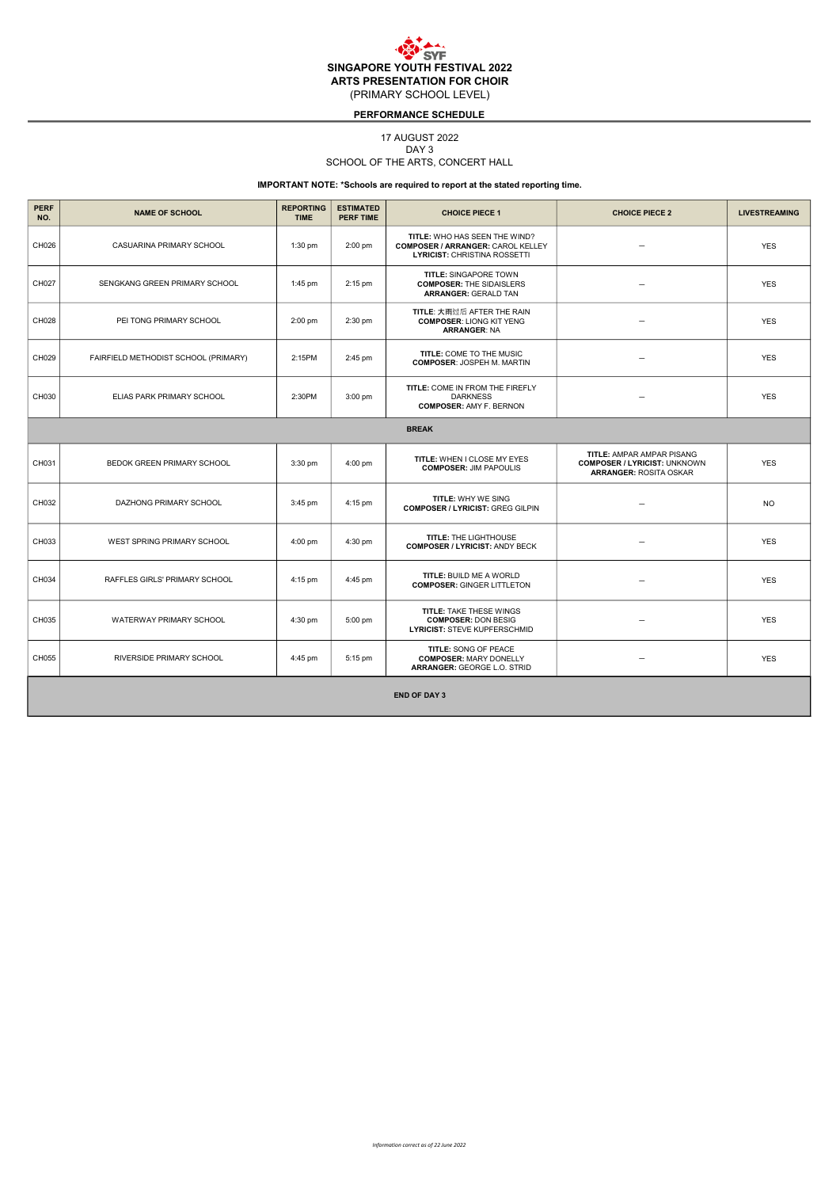#### PERFORMANCE SCHEDULE

## 17 AUGUST 2022

DAY<sub>3</sub>

## SCHOOL OF THE ARTS, CONCERT HALL

| <b>PERF</b><br>NO. | <b>NAME OF SCHOOL</b>                | <b>REPORTING</b><br><b>TIME</b> | <b>ESTIMATED</b><br><b>PERF TIME</b> | <b>CHOICE PIECE 1</b>                                                                                            | <b>CHOICE PIECE 2</b>                                                                                    | <b>LIVESTREAMING</b> |  |  |  |
|--------------------|--------------------------------------|---------------------------------|--------------------------------------|------------------------------------------------------------------------------------------------------------------|----------------------------------------------------------------------------------------------------------|----------------------|--|--|--|
| CH026              | CASUARINA PRIMARY SCHOOL             | $1:30$ pm                       | $2:00$ pm                            | TITLE: WHO HAS SEEN THE WIND?<br><b>COMPOSER / ARRANGER: CAROL KELLEY</b><br><b>LYRICIST: CHRISTINA ROSSETTI</b> |                                                                                                          | <b>YES</b>           |  |  |  |
| CH027              | SENGKANG GREEN PRIMARY SCHOOL        | $1:45$ pm                       | 2:15 pm                              | <b>TITLE: SINGAPORE TOWN</b><br><b>COMPOSER: THE SIDAISLERS</b><br><b>ARRANGER: GERALD TAN</b>                   | $\equiv$                                                                                                 | <b>YES</b>           |  |  |  |
| CH028              | PEI TONG PRIMARY SCHOOL              | $2:00$ pm                       | 2:30 pm                              | <b>TITLE: 大雨过后 AFTER THE RAIN</b><br><b>COMPOSER: LIONG KIT YENG</b><br><b>ARRANGER: NA</b>                      |                                                                                                          | <b>YES</b>           |  |  |  |
| CH029              | FAIRFIELD METHODIST SCHOOL (PRIMARY) | 2:15PM                          | 2:45 pm                              | TITLE: COME TO THE MUSIC<br><b>COMPOSER: JOSPEH M. MARTIN</b>                                                    | $\overline{\phantom{0}}$                                                                                 | <b>YES</b>           |  |  |  |
| CH030              | ELIAS PARK PRIMARY SCHOOL            | 2:30PM                          | 3:00 pm                              | TITLE: COME IN FROM THE FIREFLY<br><b>DARKNESS</b><br><b>COMPOSER: AMY F. BERNON</b>                             |                                                                                                          | <b>YES</b>           |  |  |  |
|                    | <b>BREAK</b>                         |                                 |                                      |                                                                                                                  |                                                                                                          |                      |  |  |  |
| CH031              | BEDOK GREEN PRIMARY SCHOOL           | $3:30$ pm                       | 4:00 pm                              | TITLE: WHEN I CLOSE MY EYES<br><b>COMPOSER: JIM PAPOULIS</b>                                                     | <b>TITLE: AMPAR AMPAR PISANG</b><br><b>COMPOSER / LYRICIST: UNKNOWN</b><br><b>ARRANGER: ROSITA OSKAR</b> | <b>YES</b>           |  |  |  |
| CH032              | DAZHONG PRIMARY SCHOOL               | 3:45 pm                         | 4:15 pm                              | TITLE: WHY WE SING<br><b>COMPOSER / LYRICIST: GREG GILPIN</b>                                                    | $\overline{\phantom{0}}$                                                                                 | <b>NO</b>            |  |  |  |
| CH033              | WEST SPRING PRIMARY SCHOOL           | $4:00$ pm                       | 4:30 pm                              | TITLE: THE LIGHTHOUSE<br><b>COMPOSER / LYRICIST: ANDY BECK</b>                                                   |                                                                                                          | <b>YES</b>           |  |  |  |
| CH034              | RAFFLES GIRLS' PRIMARY SCHOOL        | 4:15 pm                         | 4:45 pm                              | <b>TITLE: BUILD ME A WORLD</b><br><b>COMPOSER: GINGER LITTLETON</b>                                              | $\overline{\phantom{0}}$                                                                                 | <b>YES</b>           |  |  |  |
| CH035              | WATERWAY PRIMARY SCHOOL              | 4:30 pm                         | 5:00 pm                              | <b>TITLE: TAKE THESE WINGS</b><br><b>COMPOSER: DON BESIG</b><br><b>LYRICIST: STEVE KUPFERSCHMID</b>              | $\overline{\phantom{0}}$                                                                                 | <b>YES</b>           |  |  |  |
| CH055              | RIVERSIDE PRIMARY SCHOOL             | 4:45 pm                         | 5:15 pm                              | TITLE: SONG OF PEACE<br><b>COMPOSER: MARY DONELLY</b><br><b>ARRANGER: GEORGE L.O. STRID</b>                      | $\overline{\phantom{0}}$                                                                                 | <b>YES</b>           |  |  |  |
|                    | <b>END OF DAY 3</b>                  |                                 |                                      |                                                                                                                  |                                                                                                          |                      |  |  |  |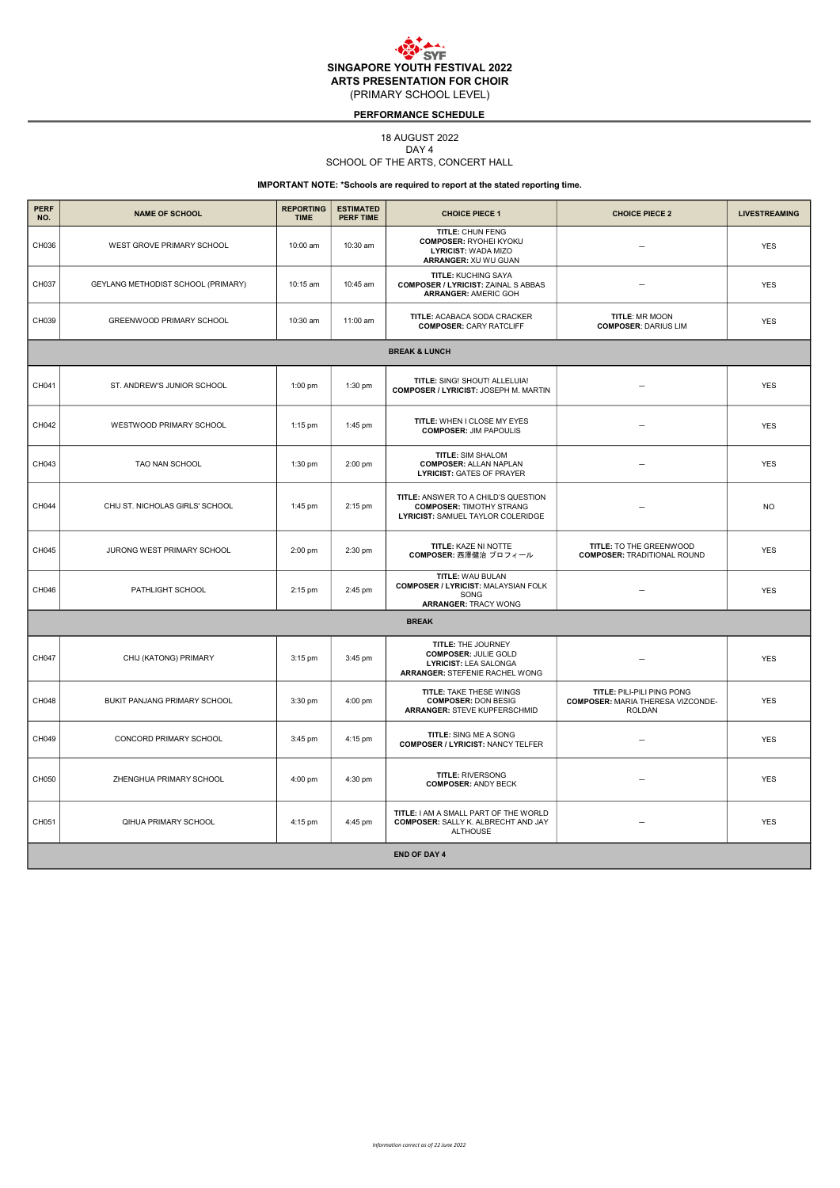## PERFORMANCE SCHEDULE

## 18 AUGUST 2022

DAY 4

## SCHOOL OF THE ARTS, CONCERT HALL

| <b>PERF</b><br>NO.       | <b>NAME OF SCHOOL</b>              | <b>REPORTING</b><br><b>TIME</b> | <b>ESTIMATED</b><br><b>PERF TIME</b> | <b>CHOICE PIECE 1</b>                                                                                        | <b>CHOICE PIECE 2</b>                                                                   | <b>LIVESTREAMING</b> |  |  |  |
|--------------------------|------------------------------------|---------------------------------|--------------------------------------|--------------------------------------------------------------------------------------------------------------|-----------------------------------------------------------------------------------------|----------------------|--|--|--|
| CH036                    | WEST GROVE PRIMARY SCHOOL          | 10:00 am                        | 10:30 am                             | TITLE: CHUN FENG<br><b>COMPOSER: RYOHEI KYOKU</b><br>LYRICIST: WADA MIZO<br>ARRANGER: XU WU GUAN             |                                                                                         | <b>YES</b>           |  |  |  |
| CH037                    | GEYLANG METHODIST SCHOOL (PRIMARY) | 10:15 am                        | 10:45 am                             | <b>TITLE: KUCHING SAYA</b><br><b>COMPOSER / LYRICIST: ZAINAL S ABBAS</b><br><b>ARRANGER: AMERIC GOH</b>      |                                                                                         | <b>YES</b>           |  |  |  |
| CH039                    | GREENWOOD PRIMARY SCHOOL           | 10:30 am                        | 11:00 am                             | TITLE: ACABACA SODA CRACKER<br><b>COMPOSER: CARY RATCLIFF</b>                                                | TITLE: MR MOON<br><b>COMPOSER: DARIUS LIM</b>                                           | <b>YES</b>           |  |  |  |
| <b>BREAK &amp; LUNCH</b> |                                    |                                 |                                      |                                                                                                              |                                                                                         |                      |  |  |  |
| CH041                    | ST. ANDREW'S JUNIOR SCHOOL         | $1:00$ pm                       | 1:30 pm                              | TITLE: SING! SHOUT! ALLELUIA!<br>COMPOSER / LYRICIST: JOSEPH M. MARTIN                                       |                                                                                         | <b>YES</b>           |  |  |  |
| CH042                    | WESTWOOD PRIMARY SCHOOL            | 1:15 pm                         | 1:45 pm                              | TITLE: WHEN I CLOSE MY EYES<br><b>COMPOSER: JIM PAPOULIS</b>                                                 |                                                                                         | <b>YES</b>           |  |  |  |
| CH043                    | TAO NAN SCHOOL                     | 1:30 pm                         | 2:00 pm                              | TITLE: SIM SHALOM<br><b>COMPOSER: ALLAN NAPLAN</b><br><b>LYRICIST: GATES OF PRAYER</b>                       | $\overline{\phantom{0}}$                                                                | <b>YES</b>           |  |  |  |
| CH044                    | CHIJ ST. NICHOLAS GIRLS' SCHOOL    | 1:45 pm                         | 2:15 pm                              | TITLE: ANSWER TO A CHILD'S QUESTION<br><b>COMPOSER: TIMOTHY STRANG</b><br>LYRICIST: SAMUEL TAYLOR COLERIDGE  |                                                                                         | <b>NO</b>            |  |  |  |
| CH045                    | JURONG WEST PRIMARY SCHOOL         | $2:00$ pm                       | 2:30 pm                              | TITLE: KAZE NI NOTTE<br>COMPOSER: 西澤健治 プロフィール                                                                | TITLE: TO THE GREENWOOD<br><b>COMPOSER: TRADITIONAL ROUND</b>                           | <b>YES</b>           |  |  |  |
| CH046                    | PATHLIGHT SCHOOL                   | 2:15 pm                         | 2:45 pm                              | <b>TITLE: WAU BULAN</b><br><b>COMPOSER / LYRICIST: MALAYSIAN FOLK</b><br>SONG<br><b>ARRANGER: TRACY WONG</b> | $\equiv$                                                                                | <b>YES</b>           |  |  |  |
|                          |                                    |                                 |                                      | <b>BREAK</b>                                                                                                 |                                                                                         |                      |  |  |  |
| CH047                    | CHIJ (KATONG) PRIMARY              | $3:15$ pm                       | 3:45 pm                              | TITLE: THE JOURNEY<br><b>COMPOSER: JULIE GOLD</b><br>LYRICIST: LEA SALONGA<br>ARRANGER: STEFENIE RACHEL WONG |                                                                                         | <b>YES</b>           |  |  |  |
| CH048                    | BUKIT PANJANG PRIMARY SCHOOL       | 3:30 pm                         | 4:00 pm                              | TITLE: TAKE THESE WINGS<br><b>COMPOSER: DON BESIG</b><br><b>ARRANGER: STEVE KUPFERSCHMID</b>                 | TITLE: PILI-PILI PING PONG<br><b>COMPOSER: MARIA THERESA VIZCONDE-</b><br><b>ROLDAN</b> | <b>YES</b>           |  |  |  |
| CH049                    | CONCORD PRIMARY SCHOOL             | 3:45 pm                         | 4:15 pm                              | TITLE: SING ME A SONG<br><b>COMPOSER / LYRICIST: NANCY TELFER</b>                                            | $\overline{\phantom{0}}$                                                                | <b>YES</b>           |  |  |  |
| CH050                    | ZHENGHUA PRIMARY SCHOOL            | 4:00 pm                         | 4:30 pm                              | <b>TITLE: RIVERSONG</b><br><b>COMPOSER: ANDY BECK</b>                                                        |                                                                                         | <b>YES</b>           |  |  |  |
| CH051                    | QIHUA PRIMARY SCHOOL               | 4:15 pm                         | 4:45 pm                              | TITLE: I AM A SMALL PART OF THE WORLD<br><b>COMPOSER: SALLY K. ALBRECHT AND JAY</b><br><b>ALTHOUSE</b>       |                                                                                         | <b>YES</b>           |  |  |  |
|                          | <b>END OF DAY 4</b>                |                                 |                                      |                                                                                                              |                                                                                         |                      |  |  |  |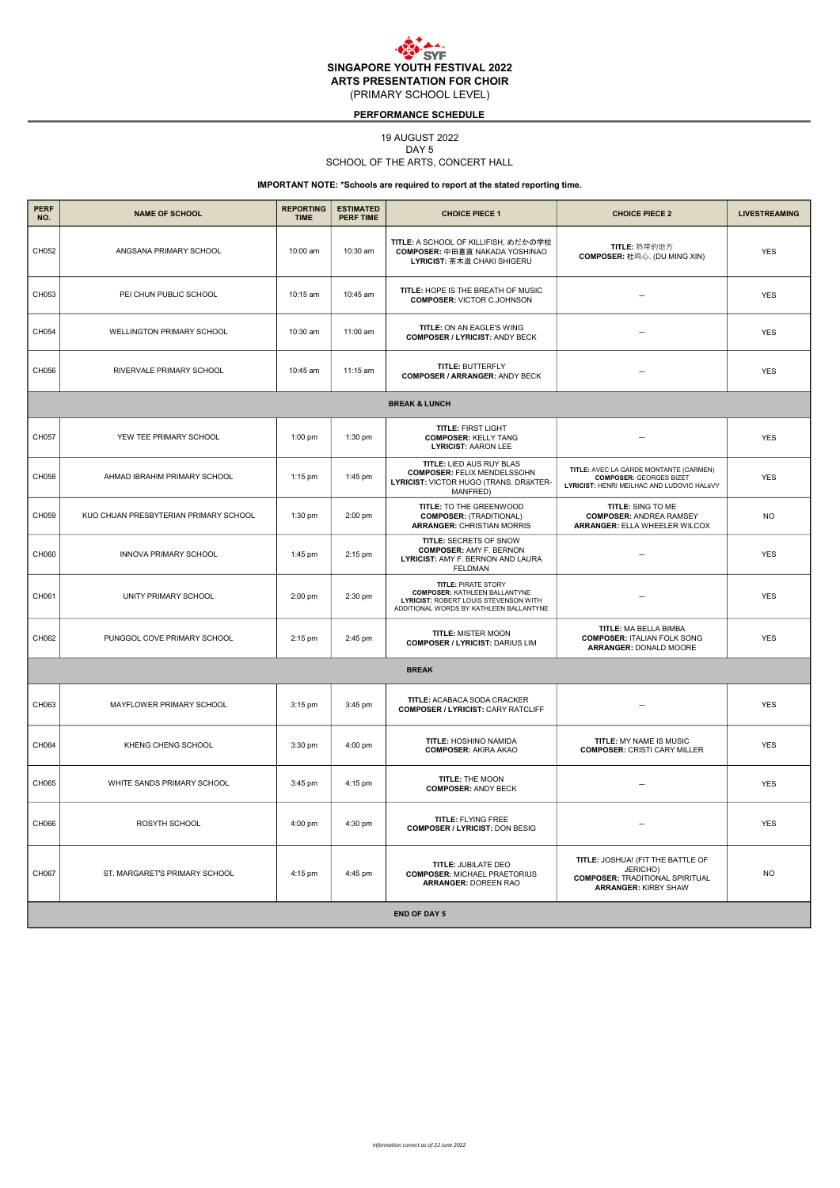## PERFORMANCE SCHEDULE

## 19 AUGUST 2022

DAY<sub>5</sub>

## SCHOOL OF THE ARTS, CONCERT HALL

| <b>PERF</b><br>NO. | <b>NAME OF SCHOOL</b>                 | <b>REPORTING</b><br><b>TIME</b> | <b>ESTIMATED</b><br><b>PERF TIME</b> | <b>CHOICE PIECE 1</b>                                                                                                                                  | <b>CHOICE PIECE 2</b>                                                                                                  | <b>LIVESTREAMING</b> |  |  |  |
|--------------------|---------------------------------------|---------------------------------|--------------------------------------|--------------------------------------------------------------------------------------------------------------------------------------------------------|------------------------------------------------------------------------------------------------------------------------|----------------------|--|--|--|
| CH052              | ANGSANA PRIMARY SCHOOL                | 10:00 am                        | 10:30 am                             | TITLE: A SCHOOL OF KILLIFISH, めだかの学校<br><b>COMPOSER: 中田喜直 NAKADA YOSHINAO</b><br>LYRICIST: 茶木滋 CHAKI SHIGERU                                           | TITLE: 热带的地方<br><b>COMPOSER: 杜鸣心. (DU MING XIN)</b>                                                                    | <b>YES</b>           |  |  |  |
| CH053              | PEI CHUN PUBLIC SCHOOL                | 10:15 am                        | 10:45 am                             | TITLE: HOPE IS THE BREATH OF MUSIC<br><b>COMPOSER: VICTOR C.JOHNSON</b>                                                                                |                                                                                                                        | <b>YES</b>           |  |  |  |
| CH054              | WELLINGTON PRIMARY SCHOOL             | 10:30 am                        | 11:00 am                             | TITLE: ON AN EAGLE'S WING<br><b>COMPOSER / LYRICIST: ANDY BECK</b>                                                                                     |                                                                                                                        | <b>YES</b>           |  |  |  |
| CH056              | RIVERVALE PRIMARY SCHOOL              | 10:45 am                        | 11:15 am                             | TITLE: BUTTERFLY<br><b>COMPOSER / ARRANGER: ANDY BECK</b>                                                                                              |                                                                                                                        | <b>YES</b>           |  |  |  |
|                    |                                       |                                 |                                      | <b>BREAK &amp; LUNCH</b>                                                                                                                               |                                                                                                                        |                      |  |  |  |
| CH057              | YEW TEE PRIMARY SCHOOL                | 1:00 pm                         | 1:30 pm                              | <b>TITLE: FIRST LIGHT</b><br><b>COMPOSER: KELLY TANG</b><br><b>LYRICIST: AARON LEE</b>                                                                 |                                                                                                                        | <b>YES</b>           |  |  |  |
| CH058              | AHMAD IBRAHIM PRIMARY SCHOOL          | 1:15 pm                         | 1:45 pm                              | <b>TITLE: LIED AUS RUY BLAS</b><br><b>COMPOSER: FELIX MENDELSSOHN</b><br>LYRICIST: VICTOR HUGO (TRANS. DRäXTER-<br>MANFRED)                            | TITLE: AVEC LA GARDE MONTANTE (CARMEN)<br><b>COMPOSER: GEORGES BIZET</b><br>LYRICIST: HENRI MEILHAC AND LUDOVIC HALéVY | <b>YES</b>           |  |  |  |
| CH059              | KUO CHUAN PRESBYTERIAN PRIMARY SCHOOL | 1:30 pm                         | 2:00 pm                              | TITLE: TO THE GREENWOOD<br><b>COMPOSER: (TRADITIONAL)</b><br><b>ARRANGER: CHRISTIAN MORRIS</b>                                                         | TITLE: SING TO ME<br><b>COMPOSER: ANDREA RAMSEY</b><br><b>ARRANGER: ELLA WHEELER WILCOX</b>                            | <b>NO</b>            |  |  |  |
| CH060              | INNOVA PRIMARY SCHOOL                 | 1:45 pm                         | 2:15 pm                              | TITLE: SECRETS OF SNOW<br><b>COMPOSER: AMY F. BERNON</b><br>LYRICIST: AMY F. BERNON AND LAURA<br>FELDMAN                                               |                                                                                                                        | <b>YES</b>           |  |  |  |
| CH061              | UNITY PRIMARY SCHOOL                  | 2:00 pm                         | 2:30 pm                              | <b>TITLE: PIRATE STORY</b><br><b>COMPOSER: KATHLEEN BALLANTYNE</b><br>LYRICIST: ROBERT LOUIS STEVENSON WITH<br>ADDITIONAL WORDS BY KATHLEEN BALLANTYNE |                                                                                                                        | <b>YES</b>           |  |  |  |
| CH062              | PUNGGOL COVE PRIMARY SCHOOL           | 2:15 pm                         | 2:45 pm                              | <b>TITLE: MISTER MOON</b><br><b>COMPOSER / LYRICIST: DARIUS LIM</b>                                                                                    | TITLE: MA BELLA BIMBA<br><b>COMPOSER: ITALIAN FOLK SONG</b><br>ARRANGER: DONALD MOORE                                  | <b>YES</b>           |  |  |  |
|                    |                                       |                                 |                                      | <b>BREAK</b>                                                                                                                                           |                                                                                                                        |                      |  |  |  |
| CH063              | MAYFLOWER PRIMARY SCHOOL              | 3:15 pm                         | 3:45 pm                              | TITLE: ACABACA SODA CRACKER<br><b>COMPOSER / LYRICIST: CARY RATCLIFF</b>                                                                               |                                                                                                                        | <b>YES</b>           |  |  |  |
| CH064              | KHENG CHENG SCHOOL                    | 3:30 pm                         | 4:00 pm                              | TITLE: HOSHINO NAMIDA<br><b>COMPOSER: AKIRA AKAO</b>                                                                                                   | TITLE: MY NAME IS MUSIC<br><b>COMPOSER: CRISTI CARY MILLER</b>                                                         | <b>YES</b>           |  |  |  |
| CH065              | WHITE SANDS PRIMARY SCHOOL            | 3:45 pm                         | 4:15 pm                              | TITLE: THE MOON<br><b>COMPOSER: ANDY BECK</b>                                                                                                          |                                                                                                                        | <b>YES</b>           |  |  |  |
| CH066              | ROSYTH SCHOOL                         | 4:00 pm                         | 4:30 pm                              | TITLE: FLYING FREE<br><b>COMPOSER / LYRICIST: DON BESIG</b>                                                                                            |                                                                                                                        | <b>YES</b>           |  |  |  |
| CH067              | ST. MARGARET'S PRIMARY SCHOOL         | 4:15 pm                         | 4:45 pm                              | TITLE: JUBILATE DEO<br><b>COMPOSER: MICHAEL PRAETORIUS</b><br><b>ARRANGER: DOREEN RAO</b>                                                              | TITLE: JOSHUA! (FIT THE BATTLE OF<br>JERICHO)<br><b>COMPOSER: TRADITIONAL SPIRITUAL</b><br><b>ARRANGER: KIRBY SHAW</b> | <b>NO</b>            |  |  |  |
|                    | <b>END OF DAY 5</b>                   |                                 |                                      |                                                                                                                                                        |                                                                                                                        |                      |  |  |  |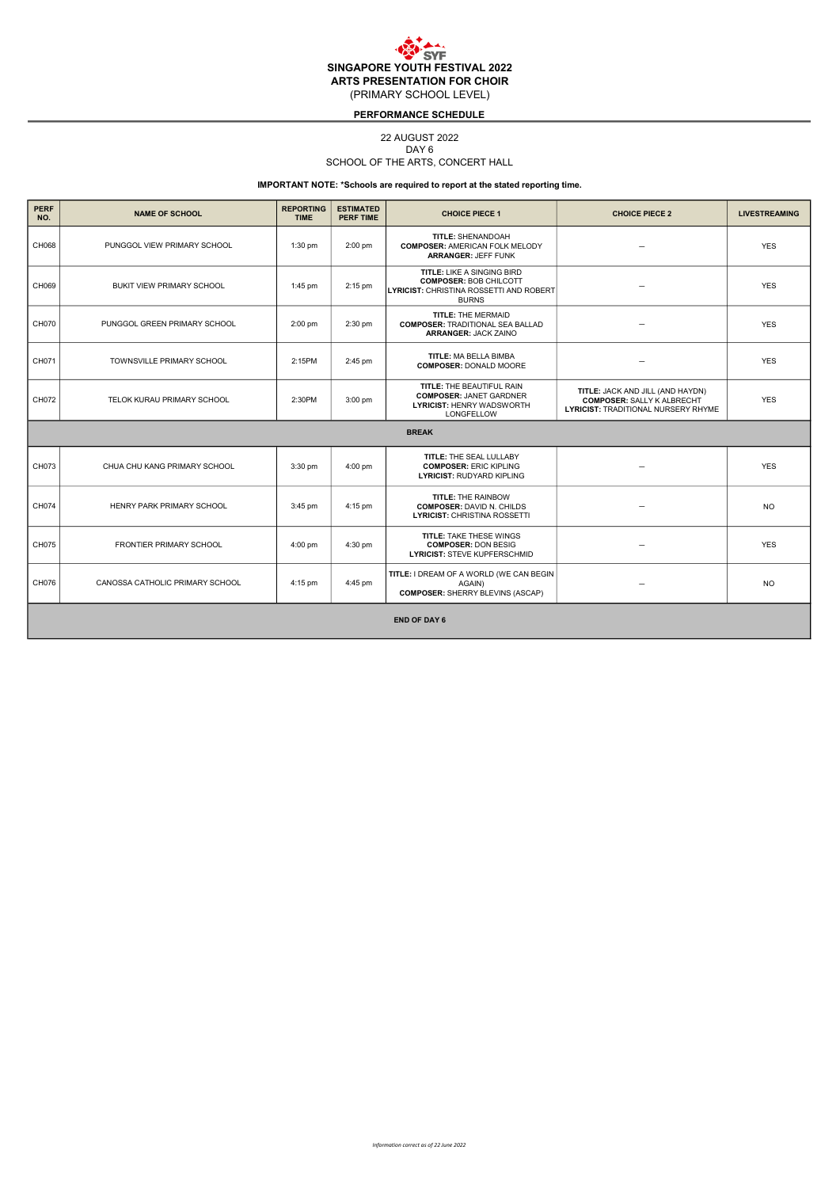## PERFORMANCE SCHEDULE

## 22 AUGUST 2022

DAY<sub>6</sub>

## SCHOOL OF THE ARTS, CONCERT HALL

| <b>PERF</b><br>NO. | <b>NAME OF SCHOOL</b>           | <b>REPORTING</b><br><b>TIME</b> | <b>ESTIMATED</b><br><b>PERF TIME</b> | <b>CHOICE PIECE 1</b>                                                                                                         | <b>CHOICE PIECE 2</b>                                                                                               | <b>LIVESTREAMING</b> |  |  |  |
|--------------------|---------------------------------|---------------------------------|--------------------------------------|-------------------------------------------------------------------------------------------------------------------------------|---------------------------------------------------------------------------------------------------------------------|----------------------|--|--|--|
| CH068              | PUNGGOL VIEW PRIMARY SCHOOL     | $1:30$ pm                       | 2:00 pm                              | TITLE: SHENANDOAH<br><b>COMPOSER: AMERICAN FOLK MELODY</b><br><b>ARRANGER: JEFF FUNK</b>                                      |                                                                                                                     | <b>YES</b>           |  |  |  |
| CH069              | BUKIT VIEW PRIMARY SCHOOL       | $1:45$ pm                       | 2:15 pm                              | TITLE: LIKE A SINGING BIRD<br><b>COMPOSER: BOB CHILCOTT</b><br><b>LYRICIST: CHRISTINA ROSSETTI AND ROBERT</b><br><b>BURNS</b> |                                                                                                                     | <b>YES</b>           |  |  |  |
| CH070              | PUNGGOL GREEN PRIMARY SCHOOL    | $2:00$ pm                       | 2:30 pm                              | <b>TITLE: THE MERMAID</b><br><b>COMPOSER: TRADITIONAL SEA BALLAD</b><br><b>ARRANGER: JACK ZAINO</b>                           |                                                                                                                     | <b>YES</b>           |  |  |  |
| CH071              | TOWNSVILLE PRIMARY SCHOOL       | 2:15PM                          | 2:45 pm                              | TITLE: MA BELLA BIMBA<br><b>COMPOSER: DONALD MOORE</b>                                                                        | $\overline{\phantom{0}}$                                                                                            | <b>YES</b>           |  |  |  |
| CH072              | TELOK KURAU PRIMARY SCHOOL      | 2:30PM                          | 3:00 pm                              | TITLE: THE BEAUTIFUL RAIN<br><b>COMPOSER: JANET GARDNER</b><br><b>LYRICIST: HENRY WADSWORTH</b><br>LONGFELLOW                 | TITLE: JACK AND JILL (AND HAYDN)<br><b>COMPOSER: SALLY K ALBRECHT</b><br><b>LYRICIST: TRADITIONAL NURSERY RHYME</b> | <b>YES</b>           |  |  |  |
|                    |                                 |                                 |                                      | <b>BREAK</b>                                                                                                                  |                                                                                                                     |                      |  |  |  |
| CH073              | CHUA CHU KANG PRIMARY SCHOOL    | 3:30 pm                         | 4:00 pm                              | TITLE: THE SEAL LULLABY<br><b>COMPOSER: ERIC KIPLING</b><br><b>LYRICIST: RUDYARD KIPLING</b>                                  |                                                                                                                     | <b>YES</b>           |  |  |  |
| CH074              | HENRY PARK PRIMARY SCHOOL       | 3:45 pm                         | 4:15 pm                              | <b>TITLE: THE RAINBOW</b><br><b>COMPOSER: DAVID N. CHILDS</b><br><b>LYRICIST: CHRISTINA ROSSETTI</b>                          |                                                                                                                     | <b>NO</b>            |  |  |  |
| CH075              | <b>FRONTIER PRIMARY SCHOOL</b>  | 4:00 pm                         | 4:30 pm                              | <b>TITLE: TAKE THESE WINGS</b><br><b>COMPOSER: DON BESIG</b><br><b>LYRICIST: STEVE KUPFERSCHMID</b>                           |                                                                                                                     | <b>YES</b>           |  |  |  |
| CH076              | CANOSSA CATHOLIC PRIMARY SCHOOL | 4:15 pm                         | 4:45 pm                              | TITLE: I DREAM OF A WORLD (WE CAN BEGIN<br>AGAIN)<br><b>COMPOSER: SHERRY BLEVINS (ASCAP)</b>                                  |                                                                                                                     | <b>NO</b>            |  |  |  |
|                    | <b>END OF DAY 6</b>             |                                 |                                      |                                                                                                                               |                                                                                                                     |                      |  |  |  |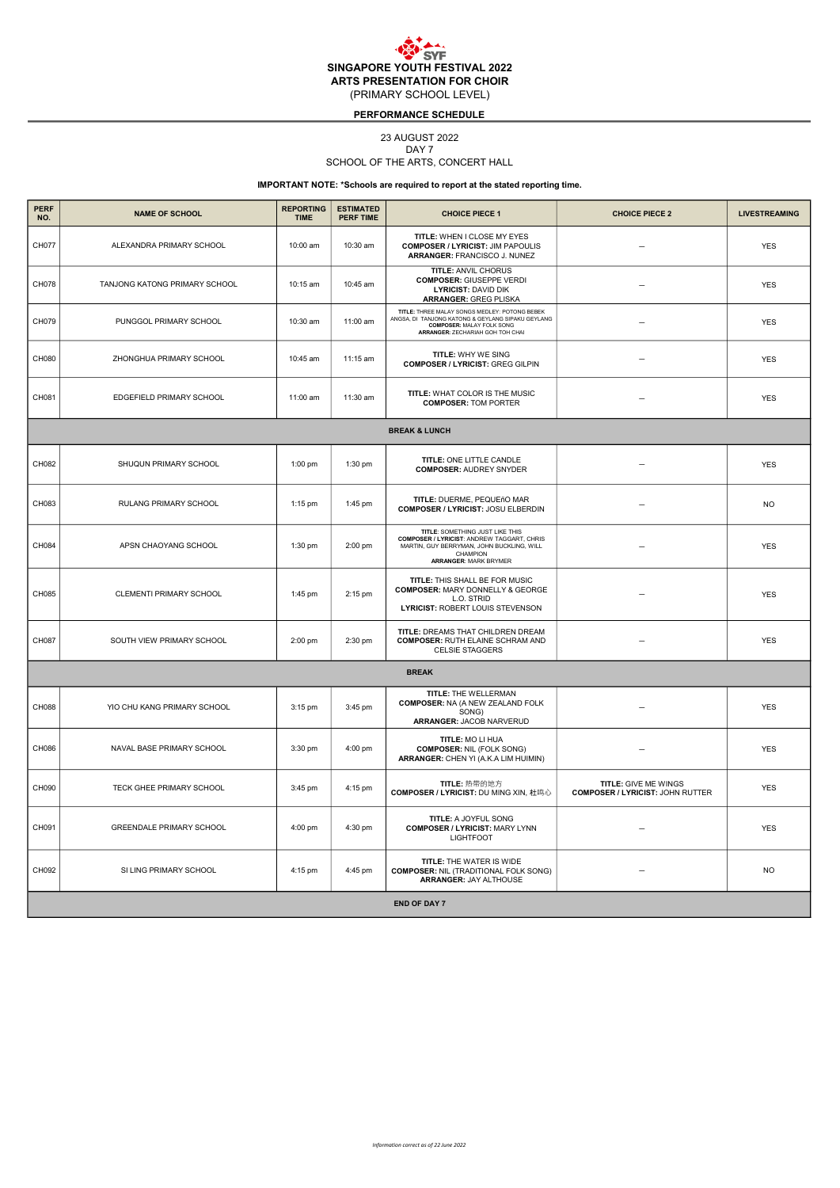## PERFORMANCE SCHEDULE

#### 23 AUGUST 2022

DAY<sub>7</sub>

## SCHOOL OF THE ARTS, CONCERT HALL

| <b>PERF</b><br>NO. | <b>NAME OF SCHOOL</b>           | <b>REPORTING</b><br><b>TIME</b> | <b>ESTIMATED</b><br><b>PERF TIME</b> | <b>CHOICE PIECE 1</b>                                                                                                                                                                | <b>CHOICE PIECE 2</b>                                                  | <b>LIVESTREAMING</b> |  |  |  |  |
|--------------------|---------------------------------|---------------------------------|--------------------------------------|--------------------------------------------------------------------------------------------------------------------------------------------------------------------------------------|------------------------------------------------------------------------|----------------------|--|--|--|--|
| CH077              | ALEXANDRA PRIMARY SCHOOL        | 10:00 am                        | 10:30 am                             | TITLE: WHEN I CLOSE MY EYES<br><b>COMPOSER / LYRICIST: JIM PAPOULIS</b><br>ARRANGER: FRANCISCO J. NUNEZ                                                                              |                                                                        | <b>YES</b>           |  |  |  |  |
| CH078              | TANJONG KATONG PRIMARY SCHOOL   | 10:15 am                        | 10:45 am                             | <b>TITLE: ANVIL CHORUS</b><br><b>COMPOSER: GIUSEPPE VERDI</b><br><b>LYRICIST: DAVID DIK</b><br><b>ARRANGER: GREG PLISKA</b>                                                          |                                                                        | <b>YES</b>           |  |  |  |  |
| CH079              | PUNGGOL PRIMARY SCHOOL          | 10:30 am                        | 11:00 am                             | TITLE: THREE MALAY SONGS MEDLEY: POTONG BEBEK<br>ANGSA, DI TANJONG KATONG & GEYLANG SIPAKU GEYLANG<br><b>COMPOSER: MALAY FOLK SONG</b><br>ARRANGER: ZECHARIAH GOH TOH CHAI           |                                                                        | <b>YES</b>           |  |  |  |  |
| CH080              | ZHONGHUA PRIMARY SCHOOL         | 10:45 am                        | 11:15 am                             | <b>TITLE: WHY WE SING</b><br><b>COMPOSER / LYRICIST: GREG GILPIN</b>                                                                                                                 |                                                                        | <b>YES</b>           |  |  |  |  |
| CH081              | EDGEFIELD PRIMARY SCHOOL        | 11:00 am                        | 11:30 am                             | TITLE: WHAT COLOR IS THE MUSIC<br><b>COMPOSER: TOM PORTER</b>                                                                                                                        |                                                                        | <b>YES</b>           |  |  |  |  |
|                    | <b>BREAK &amp; LUNCH</b>        |                                 |                                      |                                                                                                                                                                                      |                                                                        |                      |  |  |  |  |
| CH082              | SHUQUN PRIMARY SCHOOL           | $1:00$ pm                       | 1:30 pm                              | TITLE: ONE LITTLE CANDLE<br><b>COMPOSER: AUDREY SNYDER</b>                                                                                                                           |                                                                        | <b>YES</b>           |  |  |  |  |
| CH083              | RULANG PRIMARY SCHOOL           | $1:15$ pm                       | 1:45 pm                              | TITLE: DUERME, PEQUEñO MAR<br>COMPOSER / LYRICIST: JOSU ELBERDIN                                                                                                                     |                                                                        | <b>NO</b>            |  |  |  |  |
| CH084              | APSN CHAOYANG SCHOOL            | 1:30 pm                         | 2:00 pm                              | TITLE: SOMETHING JUST LIKE THIS<br><b>COMPOSER / LYRICIST: ANDREW TAGGART, CHRIS</b><br>MARTIN, GUY BERRYMAN, JOHN BUCKLING, WILL<br><b>CHAMPION</b><br><b>ARRANGER: MARK BRYMER</b> |                                                                        | <b>YES</b>           |  |  |  |  |
| CH085              | CLEMENTI PRIMARY SCHOOL         | 1:45 pm                         | 2:15 pm                              | TITLE: THIS SHALL BE FOR MUSIC<br><b>COMPOSER: MARY DONNELLY &amp; GEORGE</b><br>L.O. STRID<br>LYRICIST: ROBERT LOUIS STEVENSON                                                      |                                                                        | <b>YES</b>           |  |  |  |  |
| CH087              | SOUTH VIEW PRIMARY SCHOOL       | 2:00 pm                         | 2:30 pm                              | TITLE: DREAMS THAT CHILDREN DREAM<br><b>COMPOSER: RUTH ELAINE SCHRAM AND</b><br><b>CELSIE STAGGERS</b>                                                                               |                                                                        | <b>YES</b>           |  |  |  |  |
|                    |                                 |                                 |                                      | <b>BREAK</b>                                                                                                                                                                         |                                                                        |                      |  |  |  |  |
| CH088              | YIO CHU KANG PRIMARY SCHOOL     | 3:15 pm                         | 3:45 pm                              | TITLE: THE WELLERMAN<br><b>COMPOSER: NA (A NEW ZEALAND FOLK</b><br>SONG)<br><b>ARRANGER: JACOB NARVERUD</b>                                                                          |                                                                        | <b>YES</b>           |  |  |  |  |
| CH086              | NAVAL BASE PRIMARY SCHOOL       | 3:30 pm                         | 4:00 pm                              | TITLE: MO LI HUA<br><b>COMPOSER: NIL (FOLK SONG)</b><br>ARRANGER: CHEN YI (A.K.A LIM HUIMIN)                                                                                         |                                                                        | <b>YES</b>           |  |  |  |  |
| CH090              | TECK GHEE PRIMARY SCHOOL        | 3:45 pm                         | 4:15 pm                              | TITLE: 热带的地方<br><b>COMPOSER / LYRICIST: DU MING XIN, 杜鸣心</b>                                                                                                                         | <b>TITLE: GIVE ME WINGS</b><br><b>COMPOSER / LYRICIST: JOHN RUTTER</b> | <b>YES</b>           |  |  |  |  |
| CH091              | <b>GREENDALE PRIMARY SCHOOL</b> | 4:00 pm                         | 4:30 pm                              | TITLE: A JOYFUL SONG<br><b>COMPOSER / LYRICIST: MARY LYNN</b><br><b>LIGHTFOOT</b>                                                                                                    |                                                                        | <b>YES</b>           |  |  |  |  |
| CH092              | SI LING PRIMARY SCHOOL          | 4:15 pm                         | 4:45 pm                              | TITLE: THE WATER IS WIDE<br><b>COMPOSER: NIL (TRADITIONAL FOLK SONG)</b><br>ARRANGER: JAY ALTHOUSE                                                                                   |                                                                        | <b>NO</b>            |  |  |  |  |
|                    | <b>END OF DAY 7</b>             |                                 |                                      |                                                                                                                                                                                      |                                                                        |                      |  |  |  |  |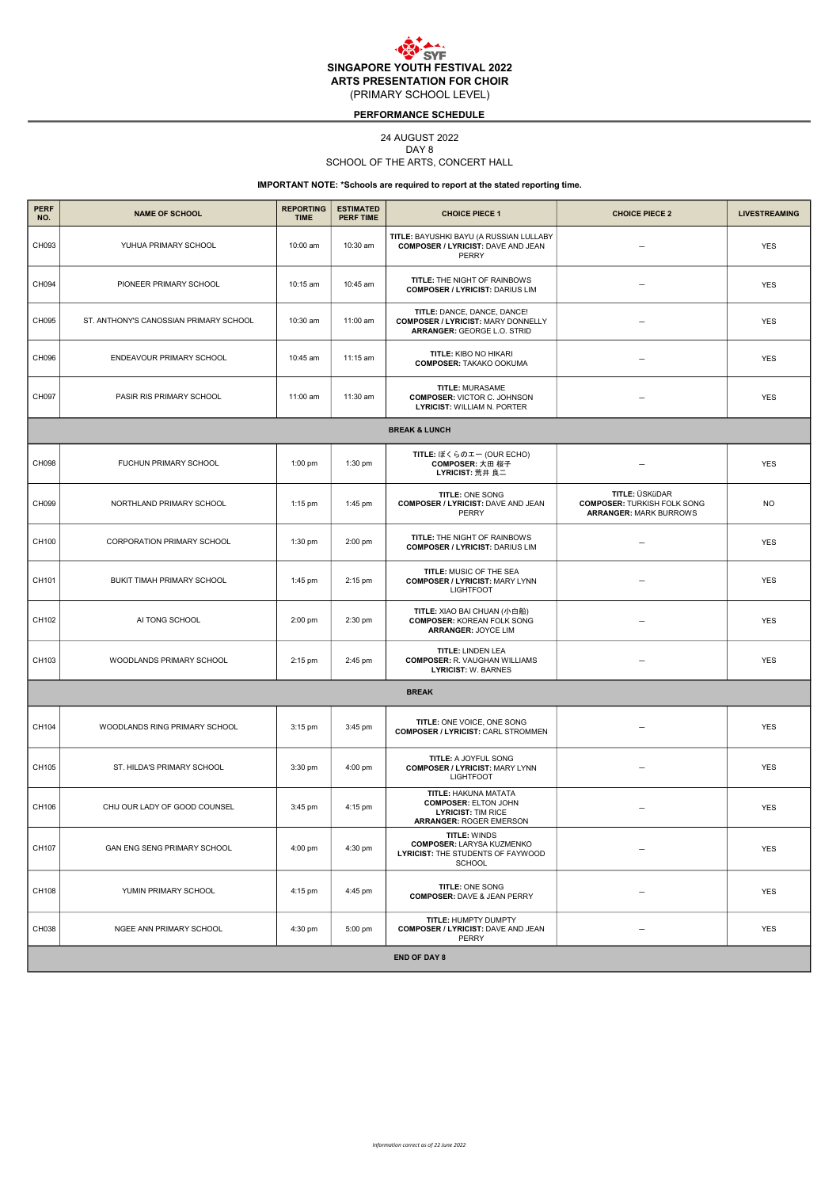## PERFORMANCE SCHEDULE

## 24 AUGUST 2022

DAY<sub>8</sub>

## SCHOOL OF THE ARTS, CONCERT HALL

| <b>PERF</b><br>NO. | <b>NAME OF SCHOOL</b>                  | <b>REPORTING</b><br><b>TIME</b> | <b>ESTIMATED</b><br><b>PERF TIME</b> | <b>CHOICE PIECE 1</b>                                                                                              | <b>CHOICE PIECE 2</b>                                                                 | <b>LIVESTREAMING</b> |  |  |  |  |
|--------------------|----------------------------------------|---------------------------------|--------------------------------------|--------------------------------------------------------------------------------------------------------------------|---------------------------------------------------------------------------------------|----------------------|--|--|--|--|
| CH093              | YUHUA PRIMARY SCHOOL                   | 10:00 am                        | 10:30 am                             | TITLE: BAYUSHKI BAYU (A RUSSIAN LULLABY<br>COMPOSER / LYRICIST: DAVE AND JEAN<br>PERRY                             |                                                                                       | <b>YES</b>           |  |  |  |  |
| CH094              | PIONEER PRIMARY SCHOOL                 | 10:15 am                        | 10:45 am                             | TITLE: THE NIGHT OF RAINBOWS<br><b>COMPOSER / LYRICIST: DARIUS LIM</b>                                             |                                                                                       | <b>YES</b>           |  |  |  |  |
| CH095              | ST. ANTHONY'S CANOSSIAN PRIMARY SCHOOL | 10:30 am                        | 11:00 am                             | TITLE: DANCE, DANCE, DANCE!<br><b>COMPOSER / LYRICIST: MARY DONNELLY</b><br>ARRANGER: GEORGE L.O. STRID            | $\overline{\phantom{0}}$                                                              | <b>YES</b>           |  |  |  |  |
| CH096              | ENDEAVOUR PRIMARY SCHOOL               | 10:45 am                        | 11:15 am                             | <b>TITLE: KIBO NO HIKARI</b><br><b>COMPOSER: TAKAKO OOKUMA</b>                                                     | $\overline{\phantom{0}}$                                                              | <b>YES</b>           |  |  |  |  |
| CH097              | PASIR RIS PRIMARY SCHOOL               | 11:00 am                        | 11:30 am                             | TITLE: MURASAME<br><b>COMPOSER: VICTOR C. JOHNSON</b><br><b>LYRICIST: WILLIAM N. PORTER</b>                        |                                                                                       | <b>YES</b>           |  |  |  |  |
|                    | <b>BREAK &amp; LUNCH</b>               |                                 |                                      |                                                                                                                    |                                                                                       |                      |  |  |  |  |
| CH098              | FUCHUN PRIMARY SCHOOL                  | 1:00 pm                         | 1:30 pm                              | TITLE: ぼくらのエー (OUR ECHO)<br>COMPOSER: 大田 桜子<br>LYRICIST: 荒井 良二                                                     |                                                                                       | <b>YES</b>           |  |  |  |  |
| CH099              | NORTHLAND PRIMARY SCHOOL               | 1:15 pm                         | 1:45 pm                              | TITLE: ONE SONG<br>COMPOSER / LYRICIST: DAVE AND JEAN<br>PERRY                                                     | TITLE: ÜSKüDAR<br><b>COMPOSER: TURKISH FOLK SONG</b><br><b>ARRANGER: MARK BURROWS</b> | <b>NO</b>            |  |  |  |  |
| CH100              | CORPORATION PRIMARY SCHOOL             | 1:30 pm                         | 2:00 pm                              | TITLE: THE NIGHT OF RAINBOWS<br><b>COMPOSER / LYRICIST: DARIUS LIM</b>                                             |                                                                                       | <b>YES</b>           |  |  |  |  |
| CH101              | BUKIT TIMAH PRIMARY SCHOOL             | 1:45 pm                         | 2:15 pm                              | TITLE: MUSIC OF THE SEA<br><b>COMPOSER / LYRICIST: MARY LYNN</b><br><b>LIGHTFOOT</b>                               |                                                                                       | <b>YES</b>           |  |  |  |  |
| CH102              | AI TONG SCHOOL                         | 2:00 pm                         | 2:30 pm                              | TITLE: XIAO BAI CHUAN (小白船)<br><b>COMPOSER: KOREAN FOLK SONG</b><br>ARRANGER: JOYCE LIM                            |                                                                                       | <b>YES</b>           |  |  |  |  |
| CH103              | WOODLANDS PRIMARY SCHOOL               | 2:15 pm                         | 2:45 pm                              | TITLE: LINDEN LEA<br><b>COMPOSER: R. VAUGHAN WILLIAMS</b><br><b>LYRICIST: W. BARNES</b>                            |                                                                                       | <b>YES</b>           |  |  |  |  |
|                    |                                        |                                 |                                      | <b>BREAK</b>                                                                                                       |                                                                                       |                      |  |  |  |  |
| CH104              | WOODLANDS RING PRIMARY SCHOOL          | $3:15$ pm                       | 3:45 pm                              | TITLE: ONE VOICE, ONE SONG<br><b>COMPOSER / LYRICIST: CARL STROMMEN</b>                                            |                                                                                       | <b>YES</b>           |  |  |  |  |
| CH105              | ST. HILDA'S PRIMARY SCHOOL             | 3:30 pm                         | 4:00 pm                              | <b>TITLE: A JOYFUL SONG</b><br><b>COMPOSER / LYRICIST: MARY LYNN</b><br><b>LIGHTFOOT</b>                           |                                                                                       | <b>YES</b>           |  |  |  |  |
| CH106              | CHIJ OUR LADY OF GOOD COUNSEL          | 3:45 pm                         | 4:15 pm                              | TITLE: HAKUNA MATATA<br><b>COMPOSER: ELTON JOHN</b><br><b>LYRICIST: TIM RICE</b><br><b>ARRANGER: ROGER EMERSON</b> |                                                                                       | <b>YES</b>           |  |  |  |  |
| CH107              | GAN ENG SENG PRIMARY SCHOOL            | 4:00 pm                         | 4:30 pm                              | TITLE: WINDS<br><b>COMPOSER: LARYSA KUZMENKO</b><br>LYRICIST: THE STUDENTS OF FAYWOOD<br><b>SCHOOL</b>             |                                                                                       | <b>YES</b>           |  |  |  |  |
| CH108              | YUMIN PRIMARY SCHOOL                   | 4:15 pm                         | 4:45 pm                              | TITLE: ONE SONG<br><b>COMPOSER: DAVE &amp; JEAN PERRY</b>                                                          |                                                                                       | <b>YES</b>           |  |  |  |  |
| CH038              | NGEE ANN PRIMARY SCHOOL                | 4:30 pm                         | 5:00 pm                              | TITLE: HUMPTY DUMPTY<br>COMPOSER / LYRICIST: DAVE AND JEAN<br>PERRY                                                |                                                                                       | <b>YES</b>           |  |  |  |  |
|                    | <b>END OF DAY 8</b>                    |                                 |                                      |                                                                                                                    |                                                                                       |                      |  |  |  |  |